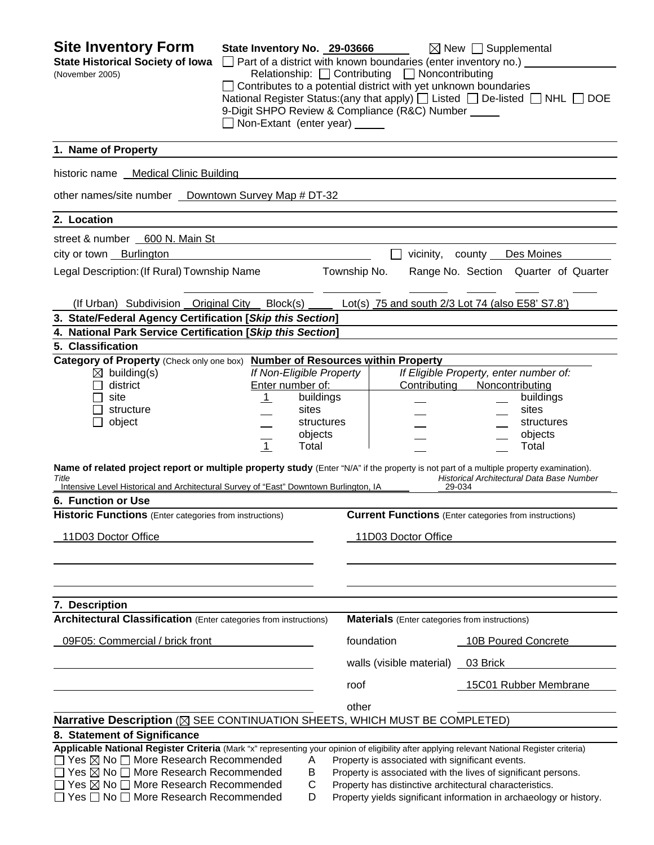| <b>Site Inventory Form</b><br><b>State Historical Society of Iowa</b><br>(November 2005)                                                                                                                                                  | State Inventory No. 29-03666<br>Non-Extant (enter year) _____ |                          | $\Box$ Part of a district with known boundaries (enter inventory no.) $\Box$<br>Relationship: $\Box$ Contributing $\Box$ Noncontributing<br>$\Box$ Contributes to a potential district with yet unknown boundaries<br>9-Digit SHPO Review & Compliance (R&C) Number _____ | $\boxtimes$ New $\Box$ Supplemental<br>National Register Status: (any that apply) [ Listed [ De-listed [ NHL [ DOE |
|-------------------------------------------------------------------------------------------------------------------------------------------------------------------------------------------------------------------------------------------|---------------------------------------------------------------|--------------------------|---------------------------------------------------------------------------------------------------------------------------------------------------------------------------------------------------------------------------------------------------------------------------|--------------------------------------------------------------------------------------------------------------------|
| 1. Name of Property                                                                                                                                                                                                                       |                                                               |                          |                                                                                                                                                                                                                                                                           |                                                                                                                    |
| historic name Medical Clinic Building                                                                                                                                                                                                     |                                                               |                          |                                                                                                                                                                                                                                                                           |                                                                                                                    |
| other names/site number _ Downtown Survey Map # DT-32                                                                                                                                                                                     |                                                               |                          |                                                                                                                                                                                                                                                                           |                                                                                                                    |
| 2. Location                                                                                                                                                                                                                               |                                                               |                          |                                                                                                                                                                                                                                                                           |                                                                                                                    |
| street & number 600 N. Main St                                                                                                                                                                                                            |                                                               |                          |                                                                                                                                                                                                                                                                           |                                                                                                                    |
| city or town Burlington                                                                                                                                                                                                                   |                                                               |                          |                                                                                                                                                                                                                                                                           | vicinity, county Des Moines                                                                                        |
| Legal Description: (If Rural) Township Name                                                                                                                                                                                               |                                                               | Township No.             |                                                                                                                                                                                                                                                                           | Range No. Section Quarter of Quarter                                                                               |
|                                                                                                                                                                                                                                           |                                                               |                          |                                                                                                                                                                                                                                                                           |                                                                                                                    |
| (If Urban) Subdivision Original City                                                                                                                                                                                                      | Block(s)                                                      |                          |                                                                                                                                                                                                                                                                           | Lot(s) 75 and south 2/3 Lot 74 (also E58' S7.8')                                                                   |
| 3. State/Federal Agency Certification [Skip this Section]                                                                                                                                                                                 |                                                               |                          |                                                                                                                                                                                                                                                                           |                                                                                                                    |
| 4. National Park Service Certification [Skip this Section]                                                                                                                                                                                |                                                               |                          |                                                                                                                                                                                                                                                                           |                                                                                                                    |
| 5. Classification<br>Category of Property (Check only one box) Number of Resources within Property                                                                                                                                        |                                                               |                          |                                                                                                                                                                                                                                                                           |                                                                                                                    |
| $\boxtimes$ building(s)                                                                                                                                                                                                                   |                                                               | If Non-Eligible Property |                                                                                                                                                                                                                                                                           | If Eligible Property, enter number of:                                                                             |
| district                                                                                                                                                                                                                                  |                                                               | Enter number of:         | Contributing                                                                                                                                                                                                                                                              | Noncontributing                                                                                                    |
| site                                                                                                                                                                                                                                      | $\perp$                                                       | buildings                |                                                                                                                                                                                                                                                                           | buildings                                                                                                          |
| structure                                                                                                                                                                                                                                 |                                                               | sites                    |                                                                                                                                                                                                                                                                           | sites                                                                                                              |
| object                                                                                                                                                                                                                                    |                                                               | structures               |                                                                                                                                                                                                                                                                           | structures                                                                                                         |
|                                                                                                                                                                                                                                           |                                                               | objects                  |                                                                                                                                                                                                                                                                           | objects                                                                                                            |
|                                                                                                                                                                                                                                           | $\overline{1}$                                                | Total                    |                                                                                                                                                                                                                                                                           | Total                                                                                                              |
| Name of related project report or multiple property study (Enter "N/A" if the property is not part of a multiple property examination).<br>Title<br>Intensive Level Historical and Architectural Survey of "East" Downtown Burlington, IA |                                                               |                          |                                                                                                                                                                                                                                                                           | Historical Architectural Data Base Number<br>29-034                                                                |
| 6. Function or Use                                                                                                                                                                                                                        |                                                               |                          |                                                                                                                                                                                                                                                                           |                                                                                                                    |
| <b>Historic Functions</b> (Enter categories from instructions)                                                                                                                                                                            |                                                               |                          |                                                                                                                                                                                                                                                                           | <b>Current Functions</b> (Enter categories from instructions)                                                      |
| 11D03 Doctor Office                                                                                                                                                                                                                       |                                                               |                          | 11D03 Doctor Office                                                                                                                                                                                                                                                       |                                                                                                                    |
|                                                                                                                                                                                                                                           |                                                               |                          |                                                                                                                                                                                                                                                                           |                                                                                                                    |
| 7. Description                                                                                                                                                                                                                            |                                                               |                          |                                                                                                                                                                                                                                                                           |                                                                                                                    |
| <b>Architectural Classification</b> (Enter categories from instructions)                                                                                                                                                                  |                                                               |                          | <b>Materials</b> (Enter categories from instructions)                                                                                                                                                                                                                     |                                                                                                                    |
| 09F05: Commercial / brick front                                                                                                                                                                                                           |                                                               |                          | foundation                                                                                                                                                                                                                                                                | 10B Poured Concrete                                                                                                |
|                                                                                                                                                                                                                                           |                                                               |                          | walls (visible material)                                                                                                                                                                                                                                                  | 03 Brick                                                                                                           |
|                                                                                                                                                                                                                                           |                                                               | roof                     |                                                                                                                                                                                                                                                                           | 15C01 Rubber Membrane                                                                                              |
|                                                                                                                                                                                                                                           |                                                               | other                    |                                                                                                                                                                                                                                                                           |                                                                                                                    |
| Narrative Description (⊠ SEE CONTINUATION SHEETS, WHICH MUST BE COMPLETED)                                                                                                                                                                |                                                               |                          |                                                                                                                                                                                                                                                                           |                                                                                                                    |
| 8. Statement of Significance                                                                                                                                                                                                              |                                                               |                          |                                                                                                                                                                                                                                                                           |                                                                                                                    |
| Applicable National Register Criteria (Mark "x" representing your opinion of eligibility after applying relevant National Register criteria)                                                                                              |                                                               |                          |                                                                                                                                                                                                                                                                           |                                                                                                                    |
| $\Box$ Yes $\boxtimes$ No $\Box$ More Research Recommended                                                                                                                                                                                |                                                               | Α                        | Property is associated with significant events.                                                                                                                                                                                                                           |                                                                                                                    |
| $\Box$ Yes $\boxtimes$ No $\Box$ More Research Recommended                                                                                                                                                                                |                                                               | В                        |                                                                                                                                                                                                                                                                           | Property is associated with the lives of significant persons.                                                      |
| $\Box$ Yes $\boxtimes$ No $\Box$ More Research Recommended                                                                                                                                                                                |                                                               | С                        | Property has distinctive architectural characteristics.                                                                                                                                                                                                                   |                                                                                                                    |
| $\Box$ Yes $\Box$ No $\Box$ More Research Recommended                                                                                                                                                                                     |                                                               | D                        |                                                                                                                                                                                                                                                                           | Property yields significant information in archaeology or history.                                                 |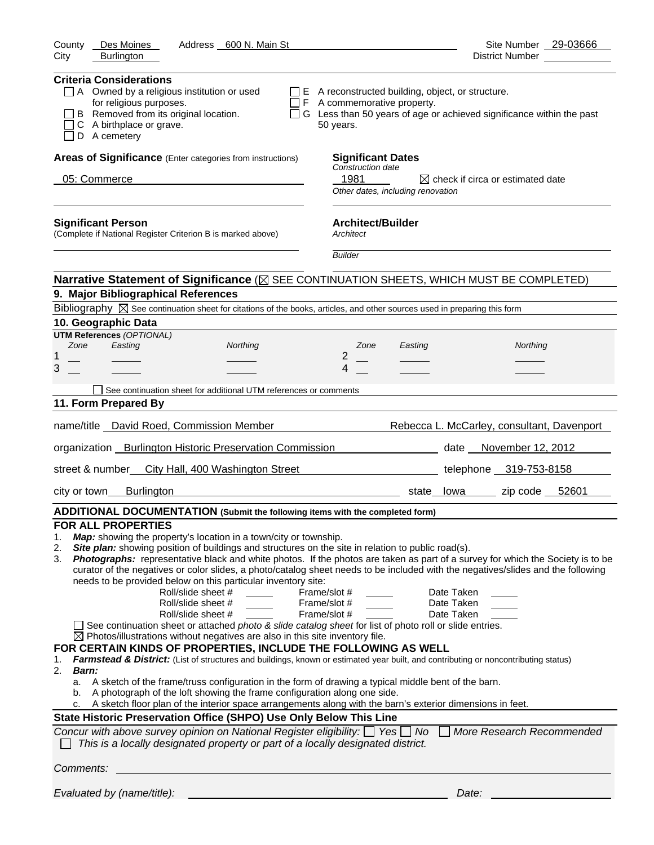| Des Moines<br>Address 600 N. Main St<br>County<br>City<br><b>Burlington</b>                                                                                                                                                                                                                                                                                                                                                                                                                                                                                                                                                                                                                                                                                                                                                                                                                                                                                                                                                                                                                                                                                                                                                                      | Site Number 29-03666<br>District Number                                                                                                                                                                                                                                                                                                                                                                                                                                                                                          |
|--------------------------------------------------------------------------------------------------------------------------------------------------------------------------------------------------------------------------------------------------------------------------------------------------------------------------------------------------------------------------------------------------------------------------------------------------------------------------------------------------------------------------------------------------------------------------------------------------------------------------------------------------------------------------------------------------------------------------------------------------------------------------------------------------------------------------------------------------------------------------------------------------------------------------------------------------------------------------------------------------------------------------------------------------------------------------------------------------------------------------------------------------------------------------------------------------------------------------------------------------|----------------------------------------------------------------------------------------------------------------------------------------------------------------------------------------------------------------------------------------------------------------------------------------------------------------------------------------------------------------------------------------------------------------------------------------------------------------------------------------------------------------------------------|
|                                                                                                                                                                                                                                                                                                                                                                                                                                                                                                                                                                                                                                                                                                                                                                                                                                                                                                                                                                                                                                                                                                                                                                                                                                                  |                                                                                                                                                                                                                                                                                                                                                                                                                                                                                                                                  |
| <b>Criteria Considerations</b><br>$\Box$ A Owned by a religious institution or used<br>for religious purposes.<br>B Removed from its original location.<br>C A birthplace or grave.<br>D A cemetery                                                                                                                                                                                                                                                                                                                                                                                                                                                                                                                                                                                                                                                                                                                                                                                                                                                                                                                                                                                                                                              | $\Box$ E A reconstructed building, object, or structure.<br>$\Box$ F A commemorative property.<br>□ G Less than 50 years of age or achieved significance within the past<br>50 years.                                                                                                                                                                                                                                                                                                                                            |
| Areas of Significance (Enter categories from instructions)                                                                                                                                                                                                                                                                                                                                                                                                                                                                                                                                                                                                                                                                                                                                                                                                                                                                                                                                                                                                                                                                                                                                                                                       | <b>Significant Dates</b>                                                                                                                                                                                                                                                                                                                                                                                                                                                                                                         |
| 05: Commerce                                                                                                                                                                                                                                                                                                                                                                                                                                                                                                                                                                                                                                                                                                                                                                                                                                                                                                                                                                                                                                                                                                                                                                                                                                     | Construction date<br>1981<br>$\boxtimes$ check if circa or estimated date<br>Other dates, including renovation                                                                                                                                                                                                                                                                                                                                                                                                                   |
| <b>Significant Person</b><br>(Complete if National Register Criterion B is marked above)                                                                                                                                                                                                                                                                                                                                                                                                                                                                                                                                                                                                                                                                                                                                                                                                                                                                                                                                                                                                                                                                                                                                                         | <b>Architect/Builder</b><br>Architect                                                                                                                                                                                                                                                                                                                                                                                                                                                                                            |
|                                                                                                                                                                                                                                                                                                                                                                                                                                                                                                                                                                                                                                                                                                                                                                                                                                                                                                                                                                                                                                                                                                                                                                                                                                                  | <b>Builder</b>                                                                                                                                                                                                                                                                                                                                                                                                                                                                                                                   |
|                                                                                                                                                                                                                                                                                                                                                                                                                                                                                                                                                                                                                                                                                                                                                                                                                                                                                                                                                                                                                                                                                                                                                                                                                                                  | Narrative Statement of Significance ( $\boxtimes$ SEE CONTINUATION SHEETS, WHICH MUST BE COMPLETED)                                                                                                                                                                                                                                                                                                                                                                                                                              |
| 9. Major Bibliographical References                                                                                                                                                                                                                                                                                                                                                                                                                                                                                                                                                                                                                                                                                                                                                                                                                                                                                                                                                                                                                                                                                                                                                                                                              |                                                                                                                                                                                                                                                                                                                                                                                                                                                                                                                                  |
| Bibliography $\boxtimes$ See continuation sheet for citations of the books, articles, and other sources used in preparing this form                                                                                                                                                                                                                                                                                                                                                                                                                                                                                                                                                                                                                                                                                                                                                                                                                                                                                                                                                                                                                                                                                                              |                                                                                                                                                                                                                                                                                                                                                                                                                                                                                                                                  |
| 10. Geographic Data<br><b>UTM References (OPTIONAL)</b>                                                                                                                                                                                                                                                                                                                                                                                                                                                                                                                                                                                                                                                                                                                                                                                                                                                                                                                                                                                                                                                                                                                                                                                          |                                                                                                                                                                                                                                                                                                                                                                                                                                                                                                                                  |
| Easting<br>Zone<br>Northing                                                                                                                                                                                                                                                                                                                                                                                                                                                                                                                                                                                                                                                                                                                                                                                                                                                                                                                                                                                                                                                                                                                                                                                                                      | Northing<br>Zone<br>Easting                                                                                                                                                                                                                                                                                                                                                                                                                                                                                                      |
| 1                                                                                                                                                                                                                                                                                                                                                                                                                                                                                                                                                                                                                                                                                                                                                                                                                                                                                                                                                                                                                                                                                                                                                                                                                                                | $\overline{2}$                                                                                                                                                                                                                                                                                                                                                                                                                                                                                                                   |
| 3                                                                                                                                                                                                                                                                                                                                                                                                                                                                                                                                                                                                                                                                                                                                                                                                                                                                                                                                                                                                                                                                                                                                                                                                                                                | 4                                                                                                                                                                                                                                                                                                                                                                                                                                                                                                                                |
| See continuation sheet for additional UTM references or comments                                                                                                                                                                                                                                                                                                                                                                                                                                                                                                                                                                                                                                                                                                                                                                                                                                                                                                                                                                                                                                                                                                                                                                                 |                                                                                                                                                                                                                                                                                                                                                                                                                                                                                                                                  |
| 11. Form Prepared By                                                                                                                                                                                                                                                                                                                                                                                                                                                                                                                                                                                                                                                                                                                                                                                                                                                                                                                                                                                                                                                                                                                                                                                                                             |                                                                                                                                                                                                                                                                                                                                                                                                                                                                                                                                  |
| name/title  David Roed, Commission Member                                                                                                                                                                                                                                                                                                                                                                                                                                                                                                                                                                                                                                                                                                                                                                                                                                                                                                                                                                                                                                                                                                                                                                                                        | Rebecca L. McCarley, consultant, Davenport                                                                                                                                                                                                                                                                                                                                                                                                                                                                                       |
| organization _ Burlington Historic Preservation Commission                                                                                                                                                                                                                                                                                                                                                                                                                                                                                                                                                                                                                                                                                                                                                                                                                                                                                                                                                                                                                                                                                                                                                                                       | date November 12, 2012                                                                                                                                                                                                                                                                                                                                                                                                                                                                                                           |
| street & number_ City Hall, 400 Washington Street                                                                                                                                                                                                                                                                                                                                                                                                                                                                                                                                                                                                                                                                                                                                                                                                                                                                                                                                                                                                                                                                                                                                                                                                | telephone 319-753-8158                                                                                                                                                                                                                                                                                                                                                                                                                                                                                                           |
| <b>Burlington</b><br>city or town                                                                                                                                                                                                                                                                                                                                                                                                                                                                                                                                                                                                                                                                                                                                                                                                                                                                                                                                                                                                                                                                                                                                                                                                                | zip code $52601$<br>state lowa                                                                                                                                                                                                                                                                                                                                                                                                                                                                                                   |
| ADDITIONAL DOCUMENTATION (Submit the following items with the completed form)                                                                                                                                                                                                                                                                                                                                                                                                                                                                                                                                                                                                                                                                                                                                                                                                                                                                                                                                                                                                                                                                                                                                                                    |                                                                                                                                                                                                                                                                                                                                                                                                                                                                                                                                  |
| <b>FOR ALL PROPERTIES</b><br>Map: showing the property's location in a town/city or township.<br>1.<br>Site plan: showing position of buildings and structures on the site in relation to public road(s).<br>2.<br>3.<br>needs to be provided below on this particular inventory site:<br>Roll/slide sheet #<br>Roll/slide sheet #<br>Roll/slide sheet #<br>See continuation sheet or attached photo & slide catalog sheet for list of photo roll or slide entries.<br>$\boxtimes$ Photos/illustrations without negatives are also in this site inventory file.<br>FOR CERTAIN KINDS OF PROPERTIES, INCLUDE THE FOLLOWING AS WELL<br>1.<br>2.<br><b>Barn:</b><br>A sketch of the frame/truss configuration in the form of drawing a typical middle bent of the barn.<br>а.<br>A photograph of the loft showing the frame configuration along one side.<br>b.<br>A sketch floor plan of the interior space arrangements along with the barn's exterior dimensions in feet.<br>с.<br>State Historic Preservation Office (SHPO) Use Only Below This Line<br>Concur with above survey opinion on National Register eligibility: $\Box$ Yes $\Box$ No<br>This is a locally designated property or part of a locally designated district.<br>Comments: | Photographs: representative black and white photos. If the photos are taken as part of a survey for which the Society is to be<br>curator of the negatives or color slides, a photo/catalog sheet needs to be included with the negatives/slides and the following<br>Frame/slot #<br>Date Taken<br>Frame/slot #<br>Date Taken<br>Frame/slot #<br>Date Taken<br>Farmstead & District: (List of structures and buildings, known or estimated year built, and contributing or noncontributing status)<br>More Research Recommended |
|                                                                                                                                                                                                                                                                                                                                                                                                                                                                                                                                                                                                                                                                                                                                                                                                                                                                                                                                                                                                                                                                                                                                                                                                                                                  |                                                                                                                                                                                                                                                                                                                                                                                                                                                                                                                                  |
| Evaluated by (name/title):                                                                                                                                                                                                                                                                                                                                                                                                                                                                                                                                                                                                                                                                                                                                                                                                                                                                                                                                                                                                                                                                                                                                                                                                                       | Date:                                                                                                                                                                                                                                                                                                                                                                                                                                                                                                                            |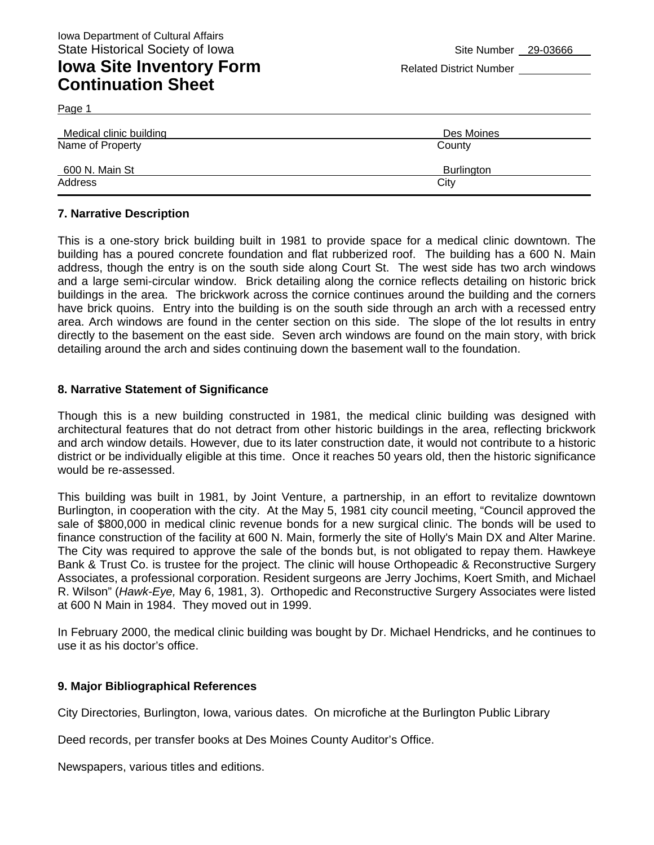## **Iowa Site Inventory Form** Related District Number **Related District Number Continuation Sheet**

Page 1

| Medical clinic building | Des Moines |  |
|-------------------------|------------|--|
| Name of Property        | County     |  |
| 600 N. Main St          | Burlington |  |
| Address                 | City       |  |

#### **7. Narrative Description**

This is a one-story brick building built in 1981 to provide space for a medical clinic downtown. The building has a poured concrete foundation and flat rubberized roof. The building has a 600 N. Main address, though the entry is on the south side along Court St. The west side has two arch windows and a large semi-circular window. Brick detailing along the cornice reflects detailing on historic brick buildings in the area. The brickwork across the cornice continues around the building and the corners have brick quoins. Entry into the building is on the south side through an arch with a recessed entry area. Arch windows are found in the center section on this side. The slope of the lot results in entry directly to the basement on the east side. Seven arch windows are found on the main story, with brick detailing around the arch and sides continuing down the basement wall to the foundation.

#### **8. Narrative Statement of Significance**

Though this is a new building constructed in 1981, the medical clinic building was designed with architectural features that do not detract from other historic buildings in the area, reflecting brickwork and arch window details. However, due to its later construction date, it would not contribute to a historic district or be individually eligible at this time. Once it reaches 50 years old, then the historic significance would be re-assessed.

This building was built in 1981, by Joint Venture, a partnership, in an effort to revitalize downtown Burlington, in cooperation with the city. At the May 5, 1981 city council meeting, "Council approved the sale of \$800,000 in medical clinic revenue bonds for a new surgical clinic. The bonds will be used to finance construction of the facility at 600 N. Main, formerly the site of Holly's Main DX and Alter Marine. The City was required to approve the sale of the bonds but, is not obligated to repay them. Hawkeye Bank & Trust Co. is trustee for the project. The clinic will house Orthopeadic & Reconstructive Surgery Associates, a professional corporation. Resident surgeons are Jerry Jochims, Koert Smith, and Michael R. Wilson" (*Hawk-Eye,* May 6, 1981, 3). Orthopedic and Reconstructive Surgery Associates were listed at 600 N Main in 1984. They moved out in 1999.

In February 2000, the medical clinic building was bought by Dr. Michael Hendricks, and he continues to use it as his doctor's office.

#### **9. Major Bibliographical References**

City Directories, Burlington, Iowa, various dates. On microfiche at the Burlington Public Library

Deed records, per transfer books at Des Moines County Auditor's Office.

Newspapers, various titles and editions.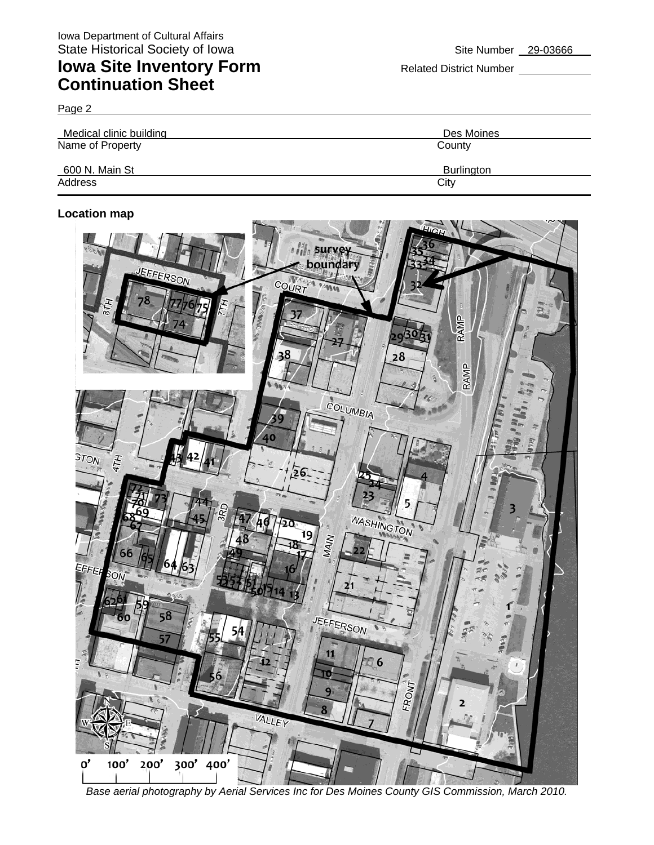# **Iowa Site Inventory Form** Related District Number **Related District Number Continuation Sheet**

Page 2

| Medical clinic building | Des Moines        |  |  |
|-------------------------|-------------------|--|--|
| Name of Property        | County            |  |  |
| 600 N. Main St          | <b>Burlington</b> |  |  |
| Address                 | City              |  |  |

#### **Location map**



*Base aerial photography by Aerial Services Inc for Des Moines County GIS Commission, March 2010.*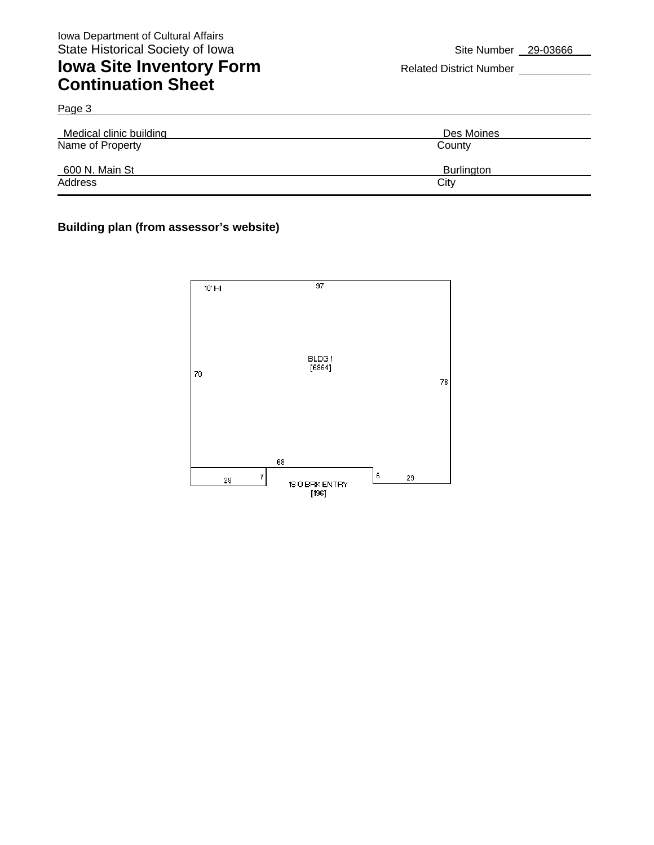## **Iowa Site Inventory Form** Related District Number \_\_\_\_ **Continuation Sheet**

Medical clinic building Des Moines Name of Property County

600 N. Main St Burlington Address City **City Address** 

Page 3

#### **Building plan (from assessor's website)**

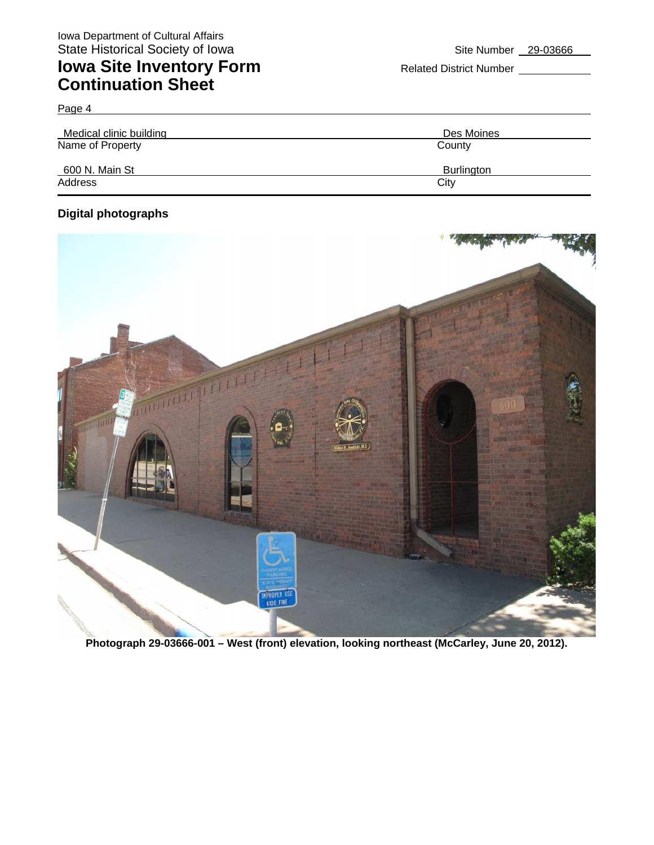# **Iowa Site Inventory Form** Related District Number **Continuation Sheet**

| Medical clinic building | Des Moines        |  |  |
|-------------------------|-------------------|--|--|
| Name of Property        | County            |  |  |
| 600 N. Main St          | <b>Burlington</b> |  |  |
| Address                 | City              |  |  |

### **Digital photographs**

Page 4

![](_page_5_Picture_7.jpeg)

**Photograph 29-03666-001 – West (front) elevation, looking northeast (McCarley, June 20, 2012).**